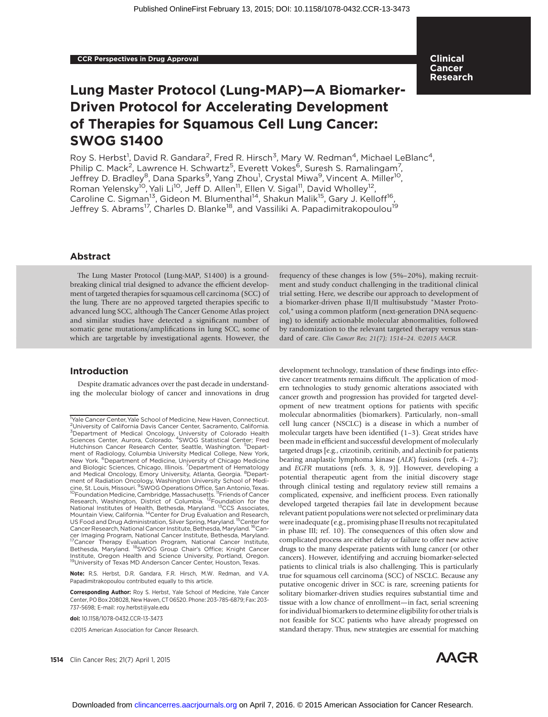# Lung Master Protocol (Lung-MAP)—A Biomarker-Driven Protocol for Accelerating Development of Therapies for Squamous Cell Lung Cancer: SWOG S1400

Roy S. Herbst<sup>1</sup>, David R. Gandara<sup>2</sup>, Fred R. Hirsch<sup>3</sup>, Mary W. Redman<sup>4</sup>, Michael LeBlanc<sup>4</sup>, Philip C. Mack<sup>2</sup>, Lawrence H. Schwartz<sup>5</sup>, Everett Vokes<sup>6</sup>, Suresh S. Ramalingam<sup>7</sup>, Jeffrey D. Bradley<sup>8</sup>, Dana Sparks<sup>9</sup>, Yang Zhou<sup>1</sup>, Crystal Miwa<sup>9</sup>, Vincent A. Miller<sup>10</sup>, Roman Yelensky<sup>10</sup>, Yali Li<sup>10</sup>, Jeff D. Allen<sup>11</sup>, Ellen V. Sigal<sup>11</sup>, David Wholley<sup>12</sup>, Caroline C. Sigman<sup>13</sup>, Gideon M. Blumenthal<sup>14</sup>, Shakun Malik<sup>15</sup>, Gary J. Kelloff<sup>16</sup>, Jeffrey S. Abrams<sup>17</sup>, Charles D. Blanke<sup>18</sup>, and Vassiliki A. Papadimitrakopoulou<sup>19</sup>

Clinical Cancer Research

### Abstract

The Lung Master Protocol (Lung-MAP, S1400) is a groundbreaking clinical trial designed to advance the efficient development of targeted therapies for squamous cell carcinoma (SCC) of the lung. There are no approved targeted therapies specific to advanced lung SCC, although The Cancer Genome Atlas project and similar studies have detected a significant number of somatic gene mutations/amplifications in lung SCC, some of which are targetable by investigational agents. However, the

#### Introduction

Despite dramatic advances over the past decade in understanding the molecular biology of cancer and innovations in drug

Note: R.S. Herbst, D.R. Gandara, F.R. Hirsch, M.W. Redman, and V.A. Papadimitrakopoulou contributed equally to this article.

Corresponding Author: Roy S. Herbst, Yale School of Medicine, Yale Cancer Center, PO Box 208028, New Haven, CT 06520. Phone: 203-785-6879; Fax: 203- 737-5698; E-mail: roy.herbst@yale.edu

2015 American Association for Cancer Research.

frequency of these changes is low (5%–20%), making recruitment and study conduct challenging in the traditional clinical trial setting. Here, we describe our approach to development of a biomarker-driven phase II/II multisubstudy "Master Protocol," using a common platform (next-generation DNA sequencing) to identify actionable molecular abnormalities, followed by randomization to the relevant targeted therapy versus standard of care. Clin Cancer Res; 21(7); 1514-24. ©2015 AACR.

development technology, translation of these findings into effective cancer treatments remains difficult. The application of modern technologies to study genomic alterations associated with cancer growth and progression has provided for targeted development of new treatment options for patients with specific molecular abnormalities (biomarkers). Particularly, non–small cell lung cancer (NSCLC) is a disease in which a number of molecular targets have been identified (1–3). Great strides have been made in efficient and successful development of molecularly targeted drugs [e.g., crizotinib, ceritinib, and alectinib for patients bearing anaplastic lymphoma kinase (ALK) fusions (refs. 4-7); and EGFR mutations (refs. 3, 8, 9)]. However, developing a potential therapeutic agent from the initial discovery stage through clinical testing and regulatory review still remains a complicated, expensive, and inefficient process. Even rationally developed targeted therapies fail late in development because relevant patient populations were not selected or preliminary data were inadequate (e.g., promising phase II results not recapitulated in phase III; ref. 10). The consequences of this often slow and complicated process are either delay or failure to offer new active drugs to the many desperate patients with lung cancer (or other cancers). However, identifying and accruing biomarker-selected patients to clinical trials is also challenging. This is particularly true for squamous cell carcinoma (SCC) of NSCLC. Because any putative oncogenic driver in SCC is rare, screening patients for solitary biomarker-driven studies requires substantial time and tissue with a low chance of enrollment—in fact, serial screening for individual biomarkers to determine eligibility for other trials is not feasible for SCC patients who have already progressed on standard therapy. Thus, new strategies are essential for matching



<sup>&</sup>lt;sup>1</sup>Yale Cancer Center, Yale School of Medicine, New Haven, Connecticut. <sup>2</sup>University of California Davis Cancer Center, Sacramento, California. <sup>3</sup>Department of Medical Oncology, University of Colorado Health<br>Sciences Center, Aurora, Colorado. <sup>4</sup>SWOG Statistical Center; Fred Hutchinson Cancer Research Center, Seattle, Washington. <sup>5</sup>Department of Radiology, Columbia University Medical College, New York, New York. <sup>6</sup>Department of Medicine, University of Chicago Medicine<br>and Biologic Sciences, Chicago, Illinois. <sup>7</sup>Department of Hematology and Medical Oncology, Emory University, Atlanta, Georgia. <sup>8</sup>Depart-<br>ment of Radiation Oncology, Washington University School of Medicine, St. Louis, Missouri. <sup>9</sup>SWOG Operations Office, San Antonio, Texas. cine, St. Louis, Missouri. <sup>9</sup>SWOG Operations Office, San Antonio, Texas.<br><sup>10</sup>Foundation Medicine, Cambridge, Massachusetts. <sup>11</sup>Friends of Cancer<br>Research, Washington, District of Columbia. <sup>12</sup>Foundation for the<br>National US Food and Drug Administration, Silver Spring, Maryland. 15Center for Cancer Research, National Cancer Institute, Bethesda, Maryland. <sup>16</sup>Cancer Imaging Program, National Cancer Institute, Bethesda, Maryland.<br><sup>17</sup>Cancer Therapy Evaluation Program, National Cancer Institute,<br>Bethesda, Maryland. <sup>18</sup>SWOG Group Chair's Office; Knight Cancer Institute, Oregon Health and Science University, Portland, Oregon. 19University of Texas MD Anderson Cancer Center, Houston, Texas.

doi: 10.1158/1078-0432.CCR-13-3473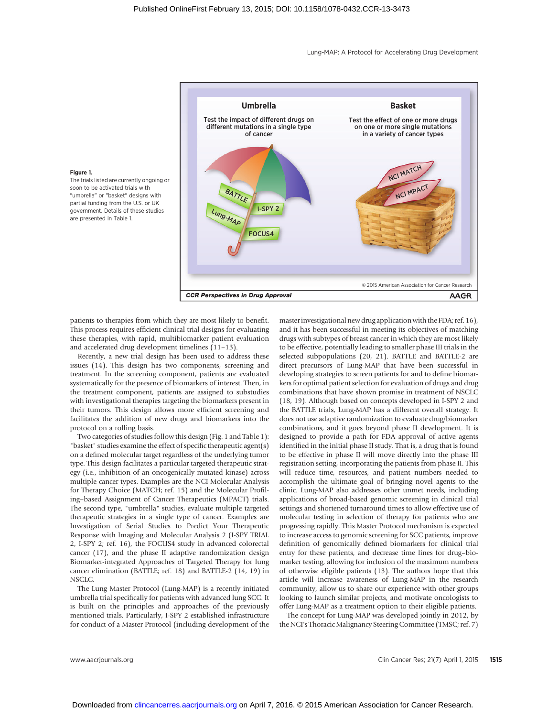Lung-MAP: A Protocol for Accelerating Drug Development



#### Figure 1.

The trials listed are currently ongoing or soon to be activated trials with "umbrella" or "basket" designs with partial funding from the U.S. or UK government. Details of these studies are presented in Table 1.

patients to therapies from which they are most likely to benefit. This process requires efficient clinical trial designs for evaluating these therapies, with rapid, multibiomarker patient evaluation and accelerated drug development timelines (11–13).

Recently, a new trial design has been used to address these issues (14). This design has two components, screening and treatment. In the screening component, patients are evaluated systematically for the presence of biomarkers of interest. Then, in the treatment component, patients are assigned to substudies with investigational therapies targeting the biomarkers present in their tumors. This design allows more efficient screening and facilitates the addition of new drugs and biomarkers into the protocol on a rolling basis.

Two categories of studies follow this design (Fig. 1 and Table 1): "basket" studies examine the effect of specific therapeutic agent(s) on a defined molecular target regardless of the underlying tumor type. This design facilitates a particular targeted therapeutic strategy (i.e., inhibition of an oncogenically mutated kinase) across multiple cancer types. Examples are the NCI Molecular Analysis for Therapy Choice (MATCH; ref. 15) and the Molecular Profiling–based Assignment of Cancer Therapeutics (MPACT) trials. The second type, "umbrella" studies, evaluate multiple targeted therapeutic strategies in a single type of cancer. Examples are Investigation of Serial Studies to Predict Your Therapeutic Response with Imaging and Molecular Analysis 2 (I-SPY TRIAL 2, I-SPY 2; ref. 16), the FOCUS4 study in advanced colorectal cancer (17), and the phase II adaptive randomization design Biomarker-integrated Approaches of Targeted Therapy for lung cancer elimination (BATTLE; ref. 18) and BATTLE-2 (14, 19) in NSCLC.

The Lung Master Protocol (Lung-MAP) is a recently initiated umbrella trial specifically for patients with advanced lung SCC. It is built on the principles and approaches of the previously mentioned trials. Particularly, I-SPY 2 established infrastructure for conduct of a Master Protocol (including development of the masterinvestigational new drug application with the FDA; ref. 16), and it has been successful in meeting its objectives of matching drugs with subtypes of breast cancer in which they are most likely to be effective, potentially leading to smaller phase III trials in the selected subpopulations (20, 21). BATTLE and BATTLE-2 are direct precursors of Lung-MAP that have been successful in developing strategies to screen patients for and to define biomarkers for optimal patient selection for evaluation of drugs and drug combinations that have shown promise in treatment of NSCLC (18, 19). Although based on concepts developed in I-SPY 2 and the BATTLE trials, Lung-MAP has a different overall strategy. It does not use adaptive randomization to evaluate drug/biomarker combinations, and it goes beyond phase II development. It is designed to provide a path for FDA approval of active agents identified in the initial phase II study. That is, a drug that is found to be effective in phase II will move directly into the phase III registration setting, incorporating the patients from phase II. This will reduce time, resources, and patient numbers needed to accomplish the ultimate goal of bringing novel agents to the clinic. Lung-MAP also addresses other unmet needs, including applications of broad-based genomic screening in clinical trial settings and shortened turnaround times to allow effective use of molecular testing in selection of therapy for patients who are progressing rapidly. This Master Protocol mechanism is expected to increase access to genomic screening for SCC patients, improve definition of genomically defined biomarkers for clinical trial entry for these patients, and decrease time lines for drug–biomarker testing, allowing for inclusion of the maximum numbers of otherwise eligible patients (13). The authors hope that this article will increase awareness of Lung-MAP in the research community, allow us to share our experience with other groups looking to launch similar projects, and motivate oncologists to offer Lung-MAP as a treatment option to their eligible patients.

The concept for Lung-MAP was developed jointly in 2012, by the NCI's Thoracic Malignancy Steering Committee (TMSC; ref. 7)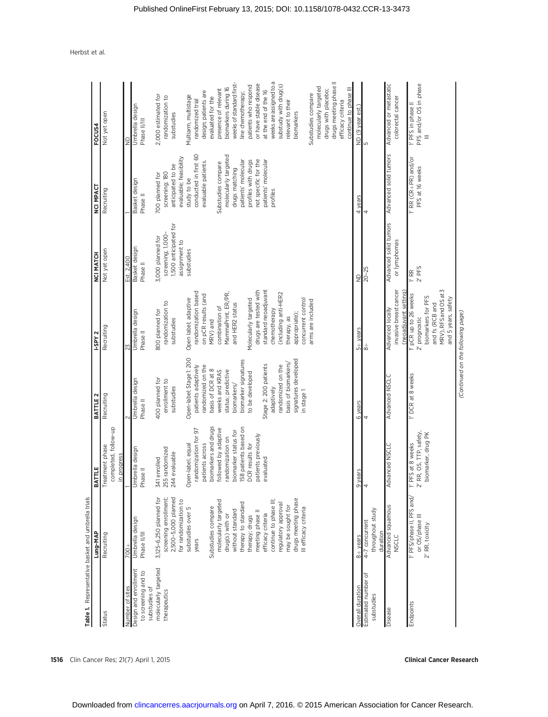|                                                               | Table 1. Representative basket and umbrella trial                                                                                                                                                                                                                                                                                                                                                                                    | BATTLE                                                                                                                                                                                                                                                                                                             |                                                                                                                                                                                                                                                                                                                                                                                    | I-SPY 2                                                                                                                                                                                                                                                                                                                                                                                                  |                                                                                                                 |                                                                                                                                                                                                                                                                                                                                     | FOCUS4                                                                                                                                                                                                                                                                                                                                                                                                                                                                                                                                                                             |
|---------------------------------------------------------------|--------------------------------------------------------------------------------------------------------------------------------------------------------------------------------------------------------------------------------------------------------------------------------------------------------------------------------------------------------------------------------------------------------------------------------------|--------------------------------------------------------------------------------------------------------------------------------------------------------------------------------------------------------------------------------------------------------------------------------------------------------------------|------------------------------------------------------------------------------------------------------------------------------------------------------------------------------------------------------------------------------------------------------------------------------------------------------------------------------------------------------------------------------------|----------------------------------------------------------------------------------------------------------------------------------------------------------------------------------------------------------------------------------------------------------------------------------------------------------------------------------------------------------------------------------------------------------|-----------------------------------------------------------------------------------------------------------------|-------------------------------------------------------------------------------------------------------------------------------------------------------------------------------------------------------------------------------------------------------------------------------------------------------------------------------------|------------------------------------------------------------------------------------------------------------------------------------------------------------------------------------------------------------------------------------------------------------------------------------------------------------------------------------------------------------------------------------------------------------------------------------------------------------------------------------------------------------------------------------------------------------------------------------|
|                                                               | Lung-MAP                                                                                                                                                                                                                                                                                                                                                                                                                             |                                                                                                                                                                                                                                                                                                                    | BATTLE 2                                                                                                                                                                                                                                                                                                                                                                           |                                                                                                                                                                                                                                                                                                                                                                                                          | NCI MATCH                                                                                                       | <b>NCI MPACT</b>                                                                                                                                                                                                                                                                                                                    |                                                                                                                                                                                                                                                                                                                                                                                                                                                                                                                                                                                    |
| Status                                                        | Recruiting                                                                                                                                                                                                                                                                                                                                                                                                                           | phase<br>Treatment                                                                                                                                                                                                                                                                                                 | Recruiting                                                                                                                                                                                                                                                                                                                                                                         | Recruiting                                                                                                                                                                                                                                                                                                                                                                                               | Not yet open                                                                                                    | Recruiting                                                                                                                                                                                                                                                                                                                          | Not yet open                                                                                                                                                                                                                                                                                                                                                                                                                                                                                                                                                                       |
|                                                               |                                                                                                                                                                                                                                                                                                                                                                                                                                      | completed, follow-up<br>in progress                                                                                                                                                                                                                                                                                |                                                                                                                                                                                                                                                                                                                                                                                    |                                                                                                                                                                                                                                                                                                                                                                                                          |                                                                                                                 |                                                                                                                                                                                                                                                                                                                                     |                                                                                                                                                                                                                                                                                                                                                                                                                                                                                                                                                                                    |
| Number of sites                                               | $700 +$                                                                                                                                                                                                                                                                                                                                                                                                                              |                                                                                                                                                                                                                                                                                                                    |                                                                                                                                                                                                                                                                                                                                                                                    | 23                                                                                                                                                                                                                                                                                                                                                                                                       | Est. 2,400                                                                                                      |                                                                                                                                                                                                                                                                                                                                     | $\frac{1}{2}$                                                                                                                                                                                                                                                                                                                                                                                                                                                                                                                                                                      |
| Design and enrollment<br>to screening and to<br>substudies of | Umbrella design<br>Phase II/III                                                                                                                                                                                                                                                                                                                                                                                                      | Umbrella design<br>Phase II                                                                                                                                                                                                                                                                                        | Umbrella design<br>Phase II                                                                                                                                                                                                                                                                                                                                                        | Umbrella design<br>Phase II                                                                                                                                                                                                                                                                                                                                                                              | Basket design<br>Phase II                                                                                       | Basket design<br>Phase II                                                                                                                                                                                                                                                                                                           | Umbrella design<br>Phase II/III                                                                                                                                                                                                                                                                                                                                                                                                                                                                                                                                                    |
| molecularly targeted<br>Overall duration<br>therapeutics      | 2,500-5,000 planned<br>3,125-6,250 planned for<br>screening enrollment<br>drugs meeting phase<br>for randomization to<br>molecularly targeted<br>continue to phase III;<br>therapy to standard<br>regulatory approval<br>may be sought for<br>Substudies compare<br>substudies over 5<br>III efficacy criteria<br>without standard<br>efficacy criteria<br>drug(s) with or<br>meeting phase<br>therapy; drugs<br>$8+$ years<br>years | 158 patients based on<br>biomarkers and drugs<br>by adaptive<br>randomization for 97<br>biomarker status for<br>previously<br>randomization on<br>DCR results for<br>across<br>equal<br>255 randomized<br>244 evaluable<br>341 enrolled<br>evaluated<br>Open-label,<br>followed<br>patients<br>patients<br>9 years | Open-label; Stage 1: 200<br>signatures developed<br>biomarker signatures<br>basis of biomarkers/<br>patients adaptively<br>Stage 2: 200 patients<br>randomized on the<br>randomized on the<br>basis of DCR at 8<br>status; predictive<br>weeks and KRAS<br>to be developed<br>400 planned for<br>enrollment to<br>biomarkers/<br>substudies<br>adaptively<br>in stage 1<br>6 years | drugs are tested with<br>standard neoadjuvant<br>randomization based<br>MammaPrint, ER/PR,<br>(including anti-HER2<br>on pCR results (and<br>Open label; adaptive<br>concurrent control<br>Molecularly targeted<br>arms are included<br>randomization to<br>and HER2 status<br>combination of<br>chemotherapy<br>800 planned for<br>appropriate);<br>therapy, as<br>substudies<br>MRV) and<br>$5+$ years | 1,500 anticipated for<br>screening; 1,000-<br>3,000 planned for<br>assignment to<br>substudies<br>$\frac{1}{2}$ | conducted in first 60<br>molecularly targeted<br>evaluable; feasibility<br>not specific for the<br>patients' molecular<br>profiles with drugs<br>patients' molecular<br>evaluable patients.<br>Substudies compare<br>anticipated to be<br>drugs matching<br>screening; 180<br>700 planned for<br>study to be<br>profiles<br>4 years | weeks are assigned to a<br>drugs meeting phase II<br>weeks of standard first-<br>or have stable disease<br>substudy with drug(s)<br>patients who respond<br>molecularly targeted<br>biomarkers during 16<br>continue to phase III<br>presence of relevant<br>at the end of the 16<br>drugs with placebo;<br>design; patients are<br>Substudies compare<br>line chemotherapy;<br>2,000 estimated for<br>Multiarm, multistage<br>randomization to<br>evaluated for the<br>randomized trial<br>relevant to their<br>efficacy criteria<br>ND (9 year est.)<br>biomarkers<br>substudies |
| Estimated number of<br>substudies                             | throughout study<br>4-7 concurrent<br>duration                                                                                                                                                                                                                                                                                                                                                                                       | 4                                                                                                                                                                                                                                                                                                                  | 4                                                                                                                                                                                                                                                                                                                                                                                  | ≑                                                                                                                                                                                                                                                                                                                                                                                                        | $20 - 25$                                                                                                       | 4                                                                                                                                                                                                                                                                                                                                   | ∩⊾∣                                                                                                                                                                                                                                                                                                                                                                                                                                                                                                                                                                                |
| Disease                                                       | Advanced squamous<br><b>NSCLC</b>                                                                                                                                                                                                                                                                                                                                                                                                    | <b>NSCLC</b><br>Advanced                                                                                                                                                                                                                                                                                           | Advanced NSCLC                                                                                                                                                                                                                                                                                                                                                                     | invasive breast cancer<br>(neoadjuvant setting)<br>Advanced locally                                                                                                                                                                                                                                                                                                                                      | Advanced solid tumors<br>or lymphomas                                                                           | Advanced solid tumors                                                                                                                                                                                                                                                                                                               | Advanced or metastatic<br>colorectal cancer                                                                                                                                                                                                                                                                                                                                                                                                                                                                                                                                        |
| Endpoints                                                     | 1' PFS/phase II, PFS and/<br>or OS/phase III<br>2' RR, toxicity                                                                                                                                                                                                                                                                                                                                                                      | TTP, safety<br>biomarker, drug PK<br>T PFS at 8 weeks<br>$2'$ RR, OS,                                                                                                                                                                                                                                              | T DCR at 8 weeks                                                                                                                                                                                                                                                                                                                                                                   | MRV), RFS and OS at 3<br>1' pCR up to 26 weeks<br>biomarkers for PFS<br>and 5 years, safety<br>and fs (RCB and<br>$2'$ prognostic                                                                                                                                                                                                                                                                        | $2'$ PFS<br>$\frac{1}{2}$                                                                                       | 1' RR (CR+PR) and/or<br>PFS at 16 weeks                                                                                                                                                                                                                                                                                             | PFS and/or OS in phase<br>$\overline{1'}$ PFS in phase II<br>$\equiv$                                                                                                                                                                                                                                                                                                                                                                                                                                                                                                              |

(Continued on the following page)

(Continued on the following page)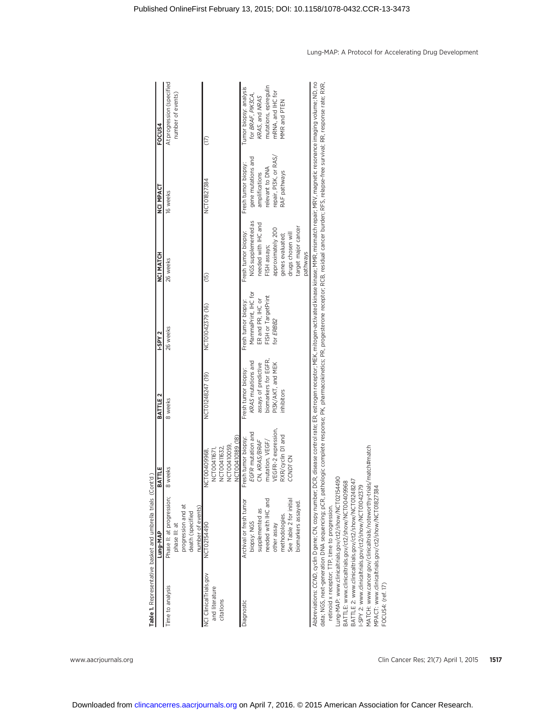|                                                       | Table 1. Representative basket and umbrella trials (Cont'd)                                                                                                                                                                                                                                                                                                                                                                                                                                                                                                                                                                                                                                                                                                                                                                                |                                                                                                                                         |                                                                                                                              |                                                                                                     |                                                                                                                                                                                    |                                                                                                                        |                                                                                                                             |
|-------------------------------------------------------|--------------------------------------------------------------------------------------------------------------------------------------------------------------------------------------------------------------------------------------------------------------------------------------------------------------------------------------------------------------------------------------------------------------------------------------------------------------------------------------------------------------------------------------------------------------------------------------------------------------------------------------------------------------------------------------------------------------------------------------------------------------------------------------------------------------------------------------------|-----------------------------------------------------------------------------------------------------------------------------------------|------------------------------------------------------------------------------------------------------------------------------|-----------------------------------------------------------------------------------------------------|------------------------------------------------------------------------------------------------------------------------------------------------------------------------------------|------------------------------------------------------------------------------------------------------------------------|-----------------------------------------------------------------------------------------------------------------------------|
|                                                       | Lung-MAP                                                                                                                                                                                                                                                                                                                                                                                                                                                                                                                                                                                                                                                                                                                                                                                                                                   | BATTLE                                                                                                                                  | BATTLE 2                                                                                                                     | -SPY <sub>2</sub>                                                                                   | <b>HOLANG</b>                                                                                                                                                                      | NCI MPACT                                                                                                              | FOCUS4                                                                                                                      |
| Time to analysis                                      | Phase II: at progression;<br>progression and at<br>number of events)<br>death (specified<br>phase III: at                                                                                                                                                                                                                                                                                                                                                                                                                                                                                                                                                                                                                                                                                                                                  | 8 weeks                                                                                                                                 | 8 weeks                                                                                                                      | 26 weeks                                                                                            | 26 weeks                                                                                                                                                                           | 16 weeks                                                                                                               | At progression (specified<br>number of events)                                                                              |
| NCI ClinicalTrials.gov<br>and literature<br>citations | NCT02154490                                                                                                                                                                                                                                                                                                                                                                                                                                                                                                                                                                                                                                                                                                                                                                                                                                | NCTO0410189 (18)<br>NCT00410059,<br>NCT00411632,<br>NCT00411671,<br>NCT00409968,                                                        | NCT01248247 (19)                                                                                                             | NCT01042379 (16)                                                                                    | (15)                                                                                                                                                                               | NCT01827384                                                                                                            | (17)                                                                                                                        |
| Diagnostic                                            | needed with IHC and<br>See Table 2 for initial<br>Archival or fresh tumor<br>biomarkers assayed.<br>supplemented as<br>methodologies.<br>biopsy: NGS<br>other assay                                                                                                                                                                                                                                                                                                                                                                                                                                                                                                                                                                                                                                                                        | expression,<br>EGFR mutation and<br>RXR/cyclin D1 and<br>Fresh tumor biopsy:<br>CN, KRAS/BRAF<br>mutation, VEGF/<br>CCND1 CN<br>VEGFR-2 | biomarkers for EGFR,<br>KRAS mutations and<br>assays of predictive<br>PI3K/AKT, and MEK<br>Fresh tumor biopsy:<br>inhibitors | MammaPrint, IHC for<br>FISH or TargetPrint<br>ER and PR, IHC or<br>Fresh tumor biopsy:<br>for ERBB2 | NGS supplemented as<br>needed with IHC and<br>target major cancer<br>approximately 200<br>Fresh tumor biopsy:<br>drugs chosen will<br>genes evaluated;<br>FISH assays;<br>pathways | repair, PI3K, or RAS<br>gene mutations and<br>Fresh tumor biopsy:<br>relevant to DNA<br>RAF pathways<br>amplifications | mutations, epiregulin<br>Tumor biopsy: analysis<br>mRNA, and IHC for<br>for BRAF, PIK3CA,<br>KRAS, and NRAS<br>MMR and PTEN |
| FOCUS4: (ref. 17)                                     | Abbreviations: CCMD, cydin D gene; CR, Copy number; DCR, disease control rate; ER, estrogen receptor; MEK, mitogen-activated kinase MMR, mismatch repair; MRV, magnetic resonance imaging volume; ND, no<br>data; NGS, next-generation DNA sequencing; pCR, pathologic complete response; PK, pharmacokinetics; PR, progesterone receptor; RCB, residual cancer burden; RFS, relapse-free survival; RR, response rate; RXR,<br>MATCH: www.cancer.gov/clinicaltrials/noteworthy-trials/match#match<br>Lung-MAP: www.clinicaltrials.gov/ct2/show/NCT02154490<br>BATTLE 2: www.clinicaltrials.gov/ct2/show/NCT01248247<br>BATTLE: www.clinicaltrials.gov/ct2/show/NCT00409968<br>I-SPY 2: www.clinicaltrials.gov/ct2/show/NCT01042379<br>MPACT: www.clinicaltrials.gov/ct2/show/NCT01827384<br>retinoid x receptor; TTP, time to progression. |                                                                                                                                         |                                                                                                                              |                                                                                                     |                                                                                                                                                                                    |                                                                                                                        |                                                                                                                             |

Lung-MAP: A Protocol for Accelerating Drug Development

Downloaded from [clincancerres.aacrjournals.org o](http://clincancerres.aacrjournals.org/)n April 7, 2016. © 2015 American Association for Cancer Research.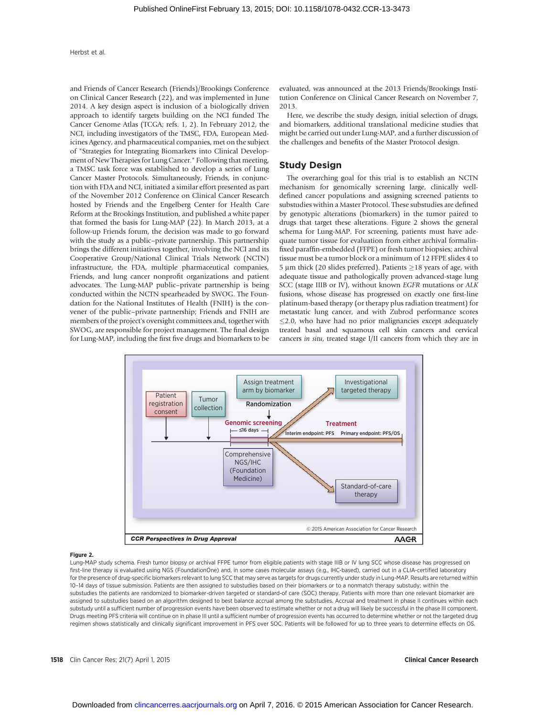and Friends of Cancer Research (Friends)/Brookings Conference on Clinical Cancer Research (22), and was implemented in June 2014. A key design aspect is inclusion of a biologically driven approach to identify targets building on the NCI funded The Cancer Genome Atlas (TCGA; refs. 1, 2). In February 2012, the NCI, including investigators of the TMSC, FDA, European Medicines Agency, and pharmaceutical companies, met on the subject of "Strategies for Integrating Biomarkers into Clinical Development of New Therapies for Lung Cancer." Following that meeting, a TMSC task force was established to develop a series of Lung Cancer Master Protocols. Simultaneously, Friends, in conjunction with FDA and NCI, initiated a similar effort presented as part of the November 2012 Conference on Clinical Cancer Research hosted by Friends and the Engelberg Center for Health Care Reform at the Brookings Institution, and published a white paper that formed the basis for Lung-MAP (22). In March 2013, at a follow-up Friends forum, the decision was made to go forward with the study as a public–private partnership. This partnership brings the different initiatives together, involving the NCI and its Cooperative Group/National Clinical Trials Network (NCTN) infrastructure, the FDA, multiple pharmaceutical companies, Friends, and lung cancer nonprofit organizations and patient advocates. The Lung-MAP public–private partnership is being conducted within the NCTN spearheaded by SWOG. The Foundation for the National Institutes of Health (FNIH) is the convener of the public–private partnership; Friends and FNIH are members of the project's oversight committees and, together with SWOG, are responsible for project management. The final design for Lung-MAP, including the first five drugs and biomarkers to be evaluated, was announced at the 2013 Friends/Brookings Institution Conference on Clinical Cancer Research on November 7, 2013.

Here, we describe the study design, initial selection of drugs, and biomarkers, additional translational medicine studies that might be carried out under Lung-MAP, and a further discussion of the challenges and benefits of the Master Protocol design.

#### Study Design

The overarching goal for this trial is to establish an NCTN mechanism for genomically screening large, clinically welldefined cancer populations and assigning screened patients to substudies within a Master Protocol. These substudies are defined by genotypic alterations (biomarkers) in the tumor paired to drugs that target these alterations. Figure 2 shows the general schema for Lung-MAP. For screening, patients must have adequate tumor tissue for evaluation from either archival formalinfixed paraffin-embedded (FFPE) or fresh tumor biopsies; archival tissue must be a tumor block or a minimum of 12 FFPE slides 4 to  $5 \mu m$  thick (20 slides preferred). Patients  $\geq 18$  years of age, with adequate tissue and pathologically proven advanced-stage lung SCC (stage IIIB or IV), without known EGFR mutations or ALK fusions, whose disease has progressed on exactly one first-line platinum-based therapy (or therapy plus radiation treatment) for metastatic lung cancer, and with Zubrod performance scores  $\leq$ 2.0, who have had no prior malignancies except adequately treated basal and squamous cell skin cancers and cervical cancers in situ, treated stage I/II cancers from which they are in



#### Figure 2.

Lung-MAP study schema. Fresh tumor biopsy or archival FFPE tumor from eligible patients with stage IIIB or IV lung SCC whose disease has progressed on first-line therapy is evaluated using NGS (FoundationOne) and, in some cases molecular assays (e.g., IHC-based), carried out in a CLIA-certified laboratory for the presence of drug-specific biomarkers relevant to lung SCC that may serve as targets for drugs currently under study in Lung-MAP. Results are returned within 10–14 days of tissue submission. Patients are then assigned to substudies based on their biomarkers or to a nonmatch therapy substudy; within the substudies the patients are randomized to biomarker-driven targeted or standard-of care (SOC) therapy. Patients with more than one relevant biomarker are assigned to substudies based on an algorithm designed to best balance accrual among the substudies. Accrual and treatment in phase II continues within each substudy until a sufficient number of progression events have been observed to estimate whether or not a drug will likely be successful in the phase III component. Drugs meeting PFS criteria will continue on in phase III until a sufficient number of progression events has occurred to determine whether or not the targeted drug regimen shows statistically and clinically significant improvement in PFS over SOC. Patients will be followed for up to three years to determine effects on OS.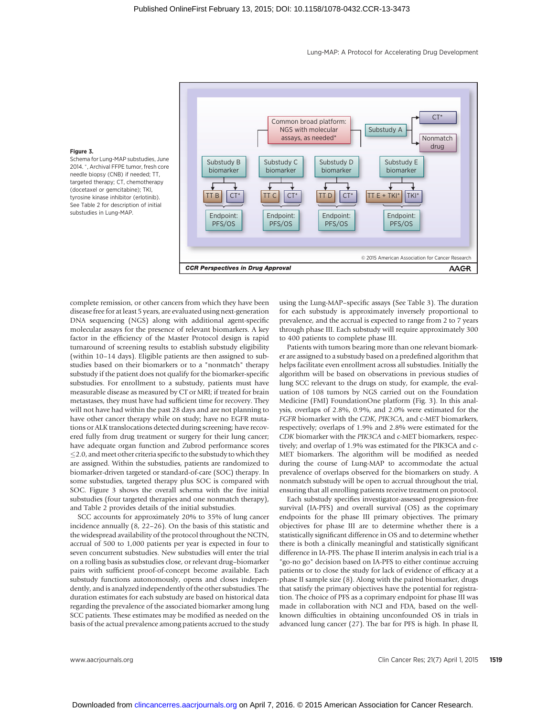Lung-MAP: A Protocol for Accelerating Drug Development



#### Figure 3.

Schema for Lung-MAP substudies, June 2014. \*, Archival FFPE tumor, fresh core needle biopsy (CNB) if needed; TT, targeted therapy; CT, chemotherapy (docetaxel or gemcitabine); TKI, tyrosine kinase inhibitor (erlotinib). See Table 2 for description of initial substudies in Lung-MAP.

complete remission, or other cancers from which they have been disease free for at least 5 years, are evaluated using next-generation DNA sequencing (NGS) along with additional agent-specific molecular assays for the presence of relevant biomarkers. A key factor in the efficiency of the Master Protocol design is rapid turnaround of screening results to establish substudy eligibility (within 10–14 days). Eligible patients are then assigned to substudies based on their biomarkers or to a "nonmatch" therapy substudy if the patient does not qualify for the biomarker-specific substudies. For enrollment to a substudy, patients must have measurable disease as measured by CT or MRI; if treated for brain metastases, they must have had sufficient time for recovery. They will not have had within the past 28 days and are not planning to have other cancer therapy while on study; have no EGFR mutations or ALK translocations detected during screening; have recovered fully from drug treatment or surgery for their lung cancer; have adequate organ function and Zubrod performance scores 2.0, and meet other criteria specific to the substudy to which they are assigned. Within the substudies, patients are randomized to biomarker-driven targeted or standard-of-care (SOC) therapy. In some substudies, targeted therapy plus SOC is compared with SOC. Figure 3 shows the overall schema with the five initial substudies (four targeted therapies and one nonmatch therapy), and Table 2 provides details of the initial substudies.

SCC accounts for approximately 20% to 35% of lung cancer incidence annually (8, 22–26). On the basis of this statistic and the widespread availability of the protocol throughout the NCTN, accrual of 500 to 1,000 patients per year is expected in four to seven concurrent substudies. New substudies will enter the trial on a rolling basis as substudies close, or relevant drug–biomarker pairs with sufficient proof-of-concept become available. Each substudy functions autonomously, opens and closes independently, and is analyzed independently of the other substudies. The duration estimates for each substudy are based on historical data regarding the prevalence of the associated biomarker among lung SCC patients. These estimates may be modified as needed on the basis of the actual prevalence among patients accrued to the study using the Lung-MAP–specific assays (See Table 3). The duration for each substudy is approximately inversely proportional to prevalence, and the accrual is expected to range from 2 to 7 years through phase III. Each substudy will require approximately 300 to 400 patients to complete phase III.

Patients with tumors bearing more than one relevant biomarker are assigned to a substudy based on a predefined algorithm that helps facilitate even enrollment across all substudies. Initially the algorithm will be based on observations in previous studies of lung SCC relevant to the drugs on study, for example, the evaluation of 108 tumors by NGS carried out on the Foundation Medicine (FMI) FoundationOne platform (Fig. 3). In this analysis, overlaps of 2.8%, 0.9%, and 2.0% were estimated for the FGFR biomarker with the CDK, PIK3CA, and c-MET biomarkers, respectively; overlaps of 1.9% and 2.8% were estimated for the CDK biomarker with the PIK3CA and c-MET biomarkers, respectively; and overlap of 1.9% was estimated for the PIK3CA and c-MET biomarkers. The algorithm will be modified as needed during the course of Lung-MAP to accommodate the actual prevalence of overlaps observed for the biomarkers on study. A nonmatch substudy will be open to accrual throughout the trial, ensuring that all enrolling patients receive treatment on protocol.

Each substudy specifies investigator-assessed progression-free survival (IA-PFS) and overall survival (OS) as the coprimary endpoints for the phase III primary objectives. The primary objectives for phase III are to determine whether there is a statistically significant difference in OS and to determine whether there is both a clinically meaningful and statistically significant difference in IA-PFS. The phase II interim analysis in each trial is a "go-no go" decision based on IA-PFS to either continue accruing patients or to close the study for lack of evidence of efficacy at a phase II sample size (8). Along with the paired biomarker, drugs that satisfy the primary objectives have the potential for registration. The choice of PFS as a coprimary endpoint for phase III was made in collaboration with NCI and FDA, based on the wellknown difficulties in obtaining unconfounded OS in trials in advanced lung cancer (27). The bar for PFS is high. In phase II,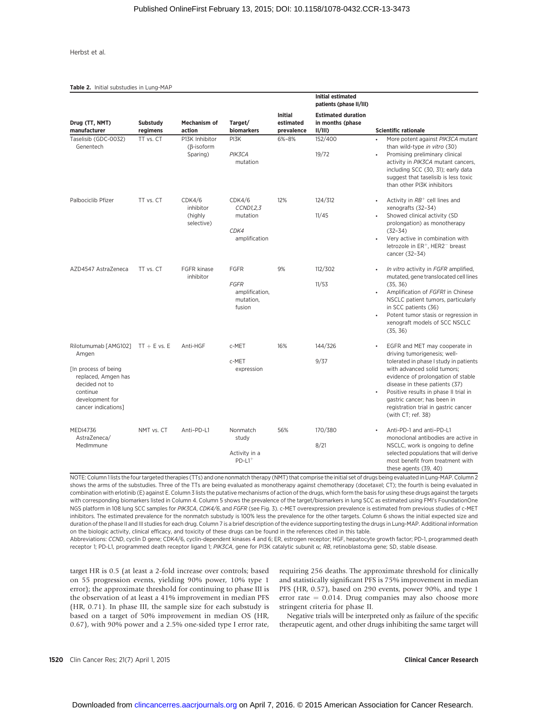Table 2. Initial substudies in Lung-MAP

|                                                                                                                                                      |                             |                                                 |                                                                     |                                           | <b>Initial estimated</b><br>patients (phase II/III)         |                                                                                                                                                                                                                                                                                                                                                      |
|------------------------------------------------------------------------------------------------------------------------------------------------------|-----------------------------|-------------------------------------------------|---------------------------------------------------------------------|-------------------------------------------|-------------------------------------------------------------|------------------------------------------------------------------------------------------------------------------------------------------------------------------------------------------------------------------------------------------------------------------------------------------------------------------------------------------------------|
| Drug (TT, NMT)<br>manufacturer                                                                                                                       | <b>Substudy</b><br>regimens | Mechanism of<br>action                          | Target/<br>biomarkers                                               | <b>Initial</b><br>estimated<br>prevalence | <b>Estimated duration</b><br>in months (phase<br>$II/III$ ) | <b>Scientific rationale</b>                                                                                                                                                                                                                                                                                                                          |
| Taselisib (GDC-0032)<br>Genentech                                                                                                                    | TT vs. CT                   | P13K Inhibitor<br>$(\beta$ -isoform<br>Sparing) | PI3K<br>PIK3CA<br>mutation                                          | 6%-8%                                     | 152/400<br>19/72                                            | $\bullet$<br>More potent against PIK3CA mutant<br>than wild-type in vitro (30)<br>Promising preliminary clinical<br>$\bullet$<br>activity in PIK3CA mutant cancers,<br>including SCC (30, 31); early data<br>suggest that taselisib is less toxic<br>than other PI3K inhibitors                                                                      |
| Palbociclib Pfizer                                                                                                                                   | TT vs. CT                   | CDK4/6<br>inhibitor<br>(highly<br>selective)    | CDK4/6<br>CCND1,2,3<br>mutation<br>CDK4<br>amplification            | 12%                                       | 124/312<br>11/45                                            | Activity in $RB^+$ cell lines and<br>xenografts (32-34)<br>Showed clinical activity (SD<br>٠<br>prolongation) as monotherapy<br>$(32 - 34)$<br>Very active in combination with<br>$\bullet$<br>letrozole in ER <sup>+</sup> , HER2 <sup>-</sup> breast<br>cancer (32-34)                                                                             |
| AZD4547 AstraZeneca                                                                                                                                  | TT vs. CT                   | <b>FGFR kinase</b><br>inhibitor                 | <b>FGFR</b><br><b>FGFR</b><br>amplification,<br>mutation,<br>fusion | 9%                                        | 112/302<br>11/53                                            | In vitro activity in FGFR amplified,<br>mutated, gene translocated cell lines<br>(35, 36)<br>Amplification of FGFR1 in Chinese<br>$\bullet$<br>NSCLC patient tumors, particularly<br>in SCC patients (36)<br>Potent tumor stasis or regression in<br>xenograft models of SCC NSCLC<br>(35, 36)                                                       |
| Rilotumumab [AMG102]<br>Amgen<br>[In process of being<br>replaced, Amgen has<br>decided not to<br>continue<br>development for<br>cancer indications] | $TT + E$ vs. E              | Anti-HGF                                        | c-MET<br>c-MET<br>expression                                        | 16%                                       | 144/326<br>9/37                                             | EGFR and MET may cooperate in<br>driving tumorigenesis; well-<br>tolerated in phase I study in patients<br>with advanced solid tumors;<br>evidence of prolongation of stable<br>disease in these patients (37)<br>Positive results in phase II trial in<br>gastric cancer; has been in<br>registration trial in gastric cancer<br>(with CT; ref. 38) |
| <b>MEDI4736</b><br>AstraZeneca/<br>MedImmune                                                                                                         | NMT vs. CT                  | Anti-PD-L1                                      | Nonmatch<br>study<br>Activity in a<br>$PD-L1$ <sup>+</sup>          | 56%                                       | 170/380<br>8/21                                             | Anti-PD-1 and anti-PD-L1<br>monoclonal antibodies are active in<br>NSCLC, work is ongoing to define<br>selected populations that will derive<br>most benefit from treatment with<br>these agents (39, 40)                                                                                                                                            |

NOTE: Column 1 lists the four targeted therapies (TTs) and one nonmatch therapy (NMT) that comprise the initial set of drugs being evaluated in Lung-MAP. Column 2 shows the arms of the substudies. Three of the TTs are being evaluated as monotherapy against chemotherapy (docetaxel; CT); the fourth is being evaluated in combination with erlotinib (E) against E. Column 3 lists the putative mechanisms of action of the drugs, which form the basis for using these drugs against the targets with corresponding biomarkers listed in Column 4. Column 5 shows the prevalence of the target/biomarkers in lung SCC as estimated using FMI's FoundationOne NGS platform in 108 lung SCC samples for PIK3CA, CDK4/6, and FGFR (see Fig. 3). c-MET overexpression prevalence is estimated from previous studies of c-MET inhibitors. The estimated prevalence for the nonmatch substudy is 100% less the prevalence for the other targets. Column 6 shows the initial expected size and duration of the phase II and III studies for each drug. Column 7 is a brief description of the evidence supporting testing the drugs in Lung-MAP. Additional information on the biologic activity, clinical efficacy, and toxicity of these drugs can be found in the references cited in this table.

Abbreviations: CCND, cyclin D gene; CDK4/6, cyclin-dependent kinases 4 and 6; ER, estrogen receptor; HGF, hepatocyte growth factor; PD-1, programmed death receptor 1; PD-L1, programmed death receptor ligand 1; PIK3CA, gene for PI3K catalytic subunit  $\alpha$ ; RB, retinoblastoma gene; SD, stable disease.

target HR is 0.5 (at least a 2-fold increase over controls; based on 55 progression events, yielding 90% power, 10% type 1 error); the approximate threshold for continuing to phase III is the observation of at least a 41% improvement in median PFS (HR, 0.71). In phase III, the sample size for each substudy is based on a target of 50% improvement in median OS (HR, 0.67), with 90% power and a 2.5% one-sided type I error rate, requiring 256 deaths. The approximate threshold for clinically and statistically significant PFS is 75% improvement in median PFS (HR, 0.57), based on 290 events, power 90%, and type 1 error rate  $= 0.014$ . Drug companies may also choose more stringent criteria for phase II.

Negative trials will be interpreted only as failure of the specific therapeutic agent, and other drugs inhibiting the same target will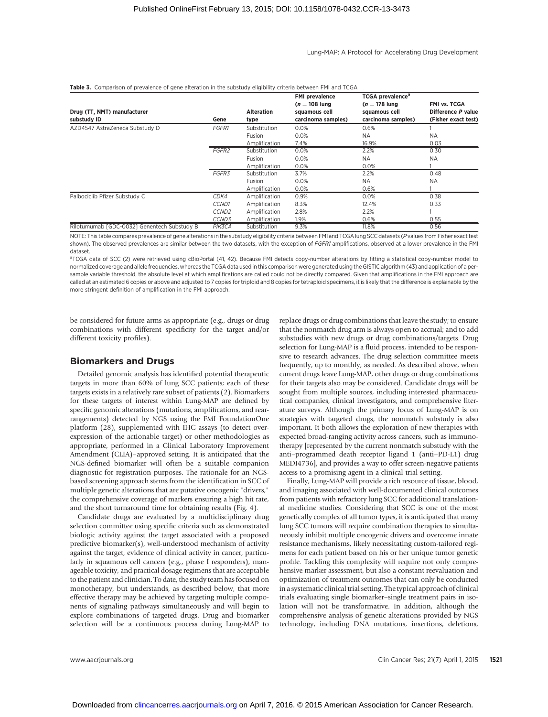#### Lung-MAP: A Protocol for Accelerating Drug Development

| Drug (TT, NMT) manufacturer<br>substudy ID  | Gene              | <b>Alteration</b><br>type | <b>FMI</b> prevalence<br>$(n = 108$ lung<br>squamous cell<br>carcinoma samples) | <b>TCGA</b> prevalence <sup>a</sup><br>$(n = 178$ lung<br>squamous cell<br>carcinoma samples) | FMI vs. TCGA<br>Difference P value<br>(Fisher exact test) |
|---------------------------------------------|-------------------|---------------------------|---------------------------------------------------------------------------------|-----------------------------------------------------------------------------------------------|-----------------------------------------------------------|
| AZD4547 AstraZeneca Substudy D              | <b>FGFR1</b>      | Substitution              | 0.0%                                                                            | 0.6%                                                                                          |                                                           |
|                                             |                   | Fusion                    | 0.0%                                                                            | <b>NA</b>                                                                                     | <b>NA</b>                                                 |
|                                             |                   | Amplification             | 7.4%                                                                            | 16.9%                                                                                         | 0.03                                                      |
|                                             | FGFR <sub>2</sub> | Substitution              | 0.0%                                                                            | 2.2%                                                                                          | 0.30                                                      |
|                                             |                   | Fusion                    | 0.0%                                                                            | <b>NA</b>                                                                                     | <b>NA</b>                                                 |
|                                             |                   | Amplification             | 0.0%                                                                            | 0.0%                                                                                          |                                                           |
|                                             | FGFR3             | Substitution              | 3.7%                                                                            | 2.2%                                                                                          | 0.48                                                      |
|                                             |                   | Fusion                    | 0.0%                                                                            | <b>NA</b>                                                                                     | <b>NA</b>                                                 |
|                                             |                   | Amplification             | 0.0%                                                                            | 0.6%                                                                                          |                                                           |
| Palbociclib Pfizer Substudy C               | CDK4              | Amplification             | 0.9%                                                                            | 0.0%                                                                                          | 0.38                                                      |
|                                             | CCND1             | Amplification             | 8.3%                                                                            | 12.4%                                                                                         | 0.33                                                      |
|                                             | CCND <sub>2</sub> | Amplification             | 2.8%                                                                            | 2.2%                                                                                          |                                                           |
|                                             | CCND3             | Amplification             | 1.9%                                                                            | 0.6%                                                                                          | 0.55                                                      |
| Rilotumumab [GDC-0032] Genentech Substudy B | PIK3CA            | Substitution              | 9.3%                                                                            | 11.8%                                                                                         | 0.56                                                      |

#### Table 3. Comparison of prevalence of gene alteration in the substudy eligibility criteria between FMI and TCGA

NOTE: This table compares prevalence of gene alterations in the substudy eligibility criteria between FMI and TCGA lung SCC datasets (P values from Fisher exact test shown). The observed prevalences are similar between the two datasets, with the exception of FGFR1 amplifications, observed at a lower prevalence in the FMI dataset.

<sup>a</sup>TCGA data of SCC (2) were retrieved using cBioPortal (41, 42). Because FMI detects copy-number alterations by fitting a statistical copy-number model to normalized coverage and allele frequencies, whereas the TCGA data used in this comparison were generated using the GISTIC algorithm (43) and application of a persample variable threshold, the absolute level at which amplifications are called could not be directly compared. Given that amplifications in the FMI approach are called at an estimated 6 copies or above and adjusted to 7 copies for triploid and 8 copies for tetraploid specimens, it is likely that the difference is explainable by the more stringent definition of amplification in the FMI approach.

be considered for future arms as appropriate (e.g., drugs or drug combinations with different specificity for the target and/or different toxicity profiles).

#### Biomarkers and Drugs

Detailed genomic analysis has identified potential therapeutic targets in more than 60% of lung SCC patients; each of these targets exists in a relatively rare subset of patients (2). Biomarkers for these targets of interest within Lung-MAP are defined by specific genomic alterations (mutations, amplifications, and rearrangements) detected by NGS using the FMI FoundationOne platform (28), supplemented with IHC assays (to detect overexpression of the actionable target) or other methodologies as appropriate, performed in a Clinical Laboratory Improvement Amendment (CLIA)–approved setting. It is anticipated that the NGS-defined biomarker will often be a suitable companion diagnostic for registration purposes. The rationale for an NGSbased screening approach stems from the identification in SCC of multiple genetic alterations that are putative oncogenic "drivers," the comprehensive coverage of markers ensuring a high hit rate, and the short turnaround time for obtaining results (Fig. 4).

Candidate drugs are evaluated by a multidisciplinary drug selection committee using specific criteria such as demonstrated biologic activity against the target associated with a proposed predictive biomarker(s), well-understood mechanism of activity against the target, evidence of clinical activity in cancer, particularly in squamous cell cancers (e.g., phase I responders), manageable toxicity, and practical dosage regimens that are acceptable to the patient and clinician. To date, the study team has focused on monotherapy, but understands, as described below, that more effective therapy may be achieved by targeting multiple components of signaling pathways simultaneously and will begin to explore combinations of targeted drugs. Drug and biomarker selection will be a continuous process during Lung-MAP to

replace drugs or drug combinations that leave the study; to ensure that the nonmatch drug arm is always open to accrual; and to add substudies with new drugs or drug combinations/targets. Drug selection for Lung-MAP is a fluid process, intended to be responsive to research advances. The drug selection committee meets frequently, up to monthly, as needed. As described above, when current drugs leave Lung-MAP, other drugs or drug combinations for their targets also may be considered. Candidate drugs will be sought from multiple sources, including interested pharmaceutical companies, clinical investigators, and comprehensive literature surveys. Although the primary focus of Lung-MAP is on strategies with targeted drugs, the nonmatch substudy is also important. It both allows the exploration of new therapies with expected broad-ranging activity across cancers, such as immunotherapy [represented by the current nonmatch substudy with the anti–programmed death receptor ligand 1 (anti–PD-L1) drug MEDI4736], and provides a way to offer screen-negative patients access to a promising agent in a clinical trial setting.

Finally, Lung-MAP will provide a rich resource of tissue, blood, and imaging associated with well-documented clinical outcomes from patients with refractory lung SCC for additional translational medicine studies. Considering that SCC is one of the most genetically complex of all tumor types, it is anticipated that many lung SCC tumors will require combination therapies to simultaneously inhibit multiple oncogenic drivers and overcome innate resistance mechanisms, likely necessitating custom-tailored regimens for each patient based on his or her unique tumor genetic profile. Tackling this complexity will require not only comprehensive marker assessment, but also a constant reevaluation and optimization of treatment outcomes that can only be conducted in a systematic clinical trial setting. The typical approach of clinical trials evaluating single biomarker–single treatment pairs in isolation will not be transformative. In addition, although the comprehensive analysis of genetic alterations provided by NGS technology, including DNA mutations, insertions, deletions,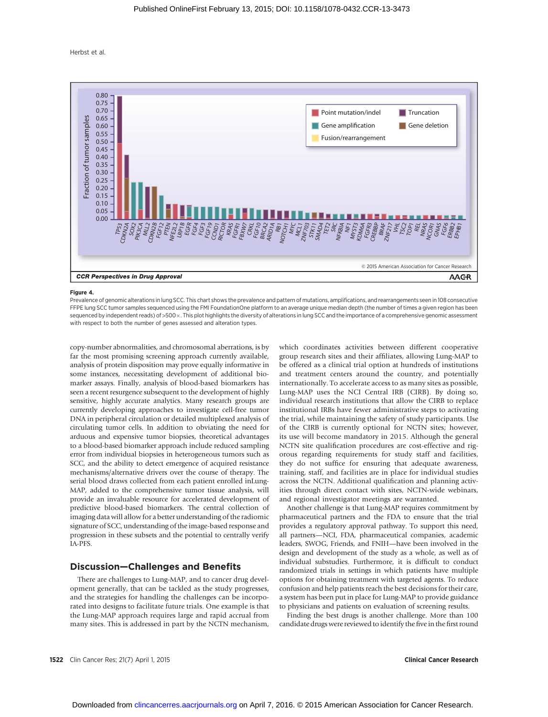

#### Figure 4.

Prevalence of genomic alterations in lung SCC. This chart shows the prevalence and pattern of mutations, amplifications, and rearrangements seen in 108 consecutive FFPE lung SCC tumor samples sequenced using the FMI FoundationOne platform to an average unique median depth (the number of times a given region has been sequenced by independent reads) of >500 x. This plot highlights the diversity of alterations in lung SCC and the importance of a comprehensive genomic assessment with respect to both the number of genes assessed and alteration types.

copy-number abnormalities, and chromosomal aberrations, is by far the most promising screening approach currently available, analysis of protein disposition may prove equally informative in some instances, necessitating development of additional biomarker assays. Finally, analysis of blood-based biomarkers has seen a recent resurgence subsequent to the development of highly sensitive, highly accurate analytics. Many research groups are currently developing approaches to investigate cell-free tumor DNA in peripheral circulation or detailed multiplexed analysis of circulating tumor cells. In addition to obviating the need for arduous and expensive tumor biopsies, theoretical advantages to a blood-based biomarker approach include reduced sampling error from individual biopsies in heterogeneous tumors such as SCC, and the ability to detect emergence of acquired resistance mechanisms/alternative drivers over the course of therapy. The serial blood draws collected from each patient enrolled inLung-MAP, added to the comprehensive tumor tissue analysis, will provide an invaluable resource for accelerated development of predictive blood-based biomarkers. The central collection of imaging data will allow for a better understanding of the radiomic signature of SCC, understanding of the image-based response and progression in these subsets and the potential to centrally verify IA-PFS.

#### Discussion—Challenges and Benefits

There are challenges to Lung-MAP, and to cancer drug development generally, that can be tackled as the study progresses, and the strategies for handling the challenges can be incorporated into designs to facilitate future trials. One example is that the Lung-MAP approach requires large and rapid accrual from many sites. This is addressed in part by the NCTN mechanism, which coordinates activities between different cooperative group research sites and their affiliates, allowing Lung-MAP to be offered as a clinical trial option at hundreds of institutions and treatment centers around the country, and potentially internationally. To accelerate access to as many sites as possible, Lung-MAP uses the NCI Central IRB (CIRB). By doing so, individual research institutions that allow the CIRB to replace institutional IRBs have fewer administrative steps to activating the trial, while maintaining the safety of study participants. Use of the CIRB is currently optional for NCTN sites; however, its use will become mandatory in 2015. Although the general NCTN site qualification procedures are cost-effective and rigorous regarding requirements for study staff and facilities, they do not suffice for ensuring that adequate awareness, training, staff, and facilities are in place for individual studies across the NCTN. Additional qualification and planning activities through direct contact with sites, NCTN-wide webinars, and regional investigator meetings are warranted.

Another challenge is that Lung-MAP requires commitment by pharmaceutical partners and the FDA to ensure that the trial provides a regulatory approval pathway. To support this need, all partners—NCI, FDA, pharmaceutical companies, academic leaders, SWOG, Friends, and FNIH—have been involved in the design and development of the study as a whole, as well as of individual substudies. Furthermore, it is difficult to conduct randomized trials in settings in which patients have multiple options for obtaining treatment with targeted agents. To reduce confusion and help patients reach the best decisions for their care, a system has been put in place for Lung-MAP to provide guidance to physicians and patients on evaluation of screening results.

Finding the best drugs is another challenge. More than 100 candidate drugs were reviewed to identify the five in the first round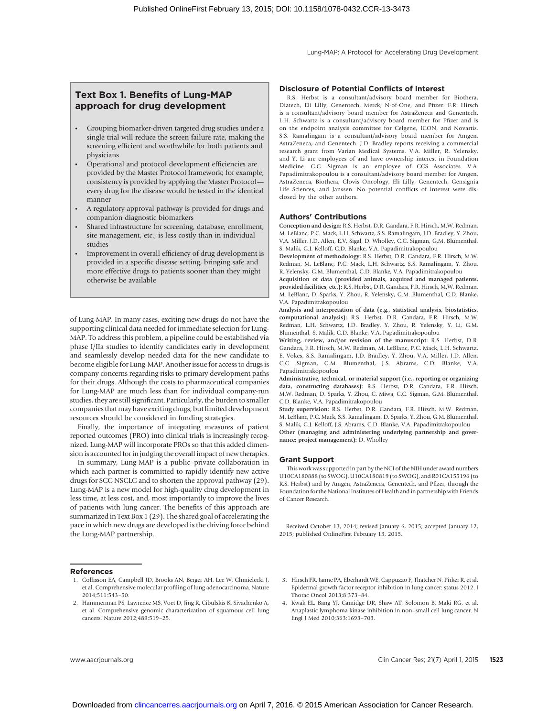## Text Box 1. Benefits of Lung-MAP approach for drug development

- \* Grouping biomarker-driven targeted drug studies under a single trial will reduce the screen failure rate, making the screening efficient and worthwhile for both patients and physicians
- Operational and protocol development efficiencies are provided by the Master Protocol framework; for example, consistency is provided by applying the Master Protocol every drug for the disease would be tested in the identical manner
- A regulatory approval pathway is provided for drugs and companion diagnostic biomarkers
- Shared infrastructure for screening, database, enrollment, site management, etc., is less costly than in individual studies
- Improvement in overall efficiency of drug development is provided in a specific disease setting, bringing safe and more effective drugs to patients sooner than they might otherwise be available

of Lung-MAP. In many cases, exciting new drugs do not have the supporting clinical data needed for immediate selection for Lung-MAP. To address this problem, a pipeline could be established via phase I/IIa studies to identify candidates early in development and seamlessly develop needed data for the new candidate to become eligible for Lung-MAP. Another issue for access to drugs is company concerns regarding risks to primary development paths for their drugs. Although the costs to pharmaceutical companies for Lung-MAP are much less than for individual company-run studies, they are still significant. Particularly, the burden to smaller companies that may have exciting drugs, but limited development resources should be considered in funding strategies.

Finally, the importance of integrating measures of patient reported outcomes (PRO) into clinical trials is increasingly recognized. Lung-MAP will incorporate PROs so that this added dimension is accounted for in judging the overall impact of new therapies.

In summary, Lung-MAP is a public–private collaboration in which each partner is committed to rapidly identify new active drugs for SCC NSCLC and to shorten the approval pathway (29). Lung-MAP is a new model for high-quality drug development in less time, at less cost, and, most importantly to improve the lives of patients with lung cancer. The benefits of this approach are summarized in Text Box 1 (29). The shared goal of accelerating the pace in which new drugs are developed is the driving force behind the Lung-MAP partnership.

#### References

- 1. Collisson EA, Campbell JD, Brooks AN, Berger AH, Lee W, Chmielecki J, et al. Comprehensive molecular profiling of lung adenocarcinoma. Nature 2014;511:543–50.
- 2. Hammerman PS, Lawrence MS, Voet D, Jing R, Cibulskis K, Sivachenko A, et al. Comprehensive genomic characterization of squamous cell lung cancers. Nature 2012;489:519–25.

#### Disclosure of Potential Conflicts of Interest

R.S. Herbst is a consultant/advisory board member for Biothera, Diatech, Eli Lilly, Genentech, Merck, N-of-One, and Pfizer. F.R. Hirsch is a consultant/advisory board member for AstraZeneca and Genentech. L.H. Schwartz is a consultant/advisory board member for Pfizer and is on the endpoint analysis committee for Celgene, ICON, and Novartis. S.S. Ramalingam is a consultant/advisory board member for Amgen, AstraZeneca, and Genentech. J.D. Bradley reports receiving a commercial research grant from Varian Medical Systems. V.A. Miller, R. Yelensky, and Y. Li are employees of and have ownership interest in Foundation Medicine. C.C. Sigman is an employee of CCS Associates. V.A. Papadimitrakopoulou is a consultant/advisory board member for Amgen, AstraZeneca, Biothera, Clovis Oncology, Eli Lilly, Genentech, Gensignia Life Sciences, and Janssen. No potential conflicts of interest were disclosed by the other authors.

#### Authors' Contributions

Conception and design: R.S. Herbst, D.R. Gandara, F.R. Hirsch, M.W. Redman, M. LeBlanc, P.C. Mack, L.H. Schwartz, S.S. Ramalingam, J.D. Bradley, Y. Zhou, V.A. Miller, J.D. Allen, E.V. Sigal, D. Wholley, C.C. Sigman, G.M. Blumenthal, S. Malik, G.J. Kelloff, C.D. Blanke, V.A. Papadimitrakopoulou

Development of methodology: R.S. Herbst, D.R. Gandara, F.R. Hirsch, M.W. Redman, M. LeBlanc, P.C. Mack, L.H. Schwartz, S.S. Ramalingam, Y. Zhou, R. Yelensky, G.M. Blumenthal, C.D. Blanke, V.A. Papadimitrakopoulou

Acquisition of data (provided animals, acquired and managed patients, provided facilities, etc.): R.S. Herbst, D.R. Gandara, F.R. Hirsch, M.W. Redman, M. LeBlanc, D. Sparks, Y. Zhou, R. Yelensky, G.M. Blumenthal, C.D. Blanke, V.A. Papadimitrakopoulou

Analysis and interpretation of data (e.g., statistical analysis, biostatistics, computational analysis): R.S. Herbst, D.R. Gandara, F.R. Hirsch, M.W. Redman, L.H. Schwartz, J.D. Bradley, Y. Zhou, R. Yelensky, Y. Li, G.M. Blumenthal, S. Malik, C.D. Blanke, V.A. Papadimitrakopoulou

Writing, review, and/or revision of the manuscript: R.S. Herbst, D.R. Gandara, F.R. Hirsch, M.W. Redman, M. LeBlanc, P.C. Mack, L.H. Schwartz, E. Vokes, S.S. Ramalingam, J.D. Bradley, Y. Zhou, V.A. Miller, J.D. Allen, C.C. Sigman, G.M. Blumenthal, J.S. Abrams, C.D. Blanke, V.A. Papadimitrakopoulou

Administrative, technical, or material support (i.e., reporting or organizing data, constructing databases): R.S. Herbst, D.R. Gandara, F.R. Hirsch, M.W. Redman, D. Sparks, Y. Zhou, C. Miwa, C.C. Sigman, G.M. Blumenthal, C.D. Blanke, V.A. Papadimitrakopoulou

Study supervision: R.S. Herbst, D.R. Gandara, F.R. Hirsch, M.W. Redman, M. LeBlanc, P.C. Mack, S.S. Ramalingam, D. Sparks, Y. Zhou, G.M. Blumenthal, S. Malik, G.J. Kelloff, J.S. Abrams, C.D. Blanke, V.A. Papadimitrakopoulou Other (managing and administering underlying partnership and governance; project management): D. Wholley

#### Grant Support

This work was supported in part by the NCI of the NIH under award numbers U10CA180888 (to SWOG), U10CA180819 (to SWOG), and R01CA155196 (to R.S. Herbst) and by Amgen, AstraZeneca, Genentech, and Pfizer, through the Foundation for the National Institutes of Health and in partnership with Friends of Cancer Research.

Received October 13, 2014; revised January 6, 2015; accepted January 12, 2015; published OnlineFirst February 13, 2015.

- 3. Hirsch FR, Janne PA, Eberhardt WE, Cappuzzo F, Thatcher N, Pirker R, et al. Epidermal growth factor receptor inhibition in lung cancer: status 2012. J Thorac Oncol 2013;8:373–84.
- 4. Kwak EL, Bang YJ, Camidge DR, Shaw AT, Solomon B, Maki RG, et al. Anaplastic lymphoma kinase inhibition in non–small cell lung cancer. N Engl J Med 2010;363:1693–703.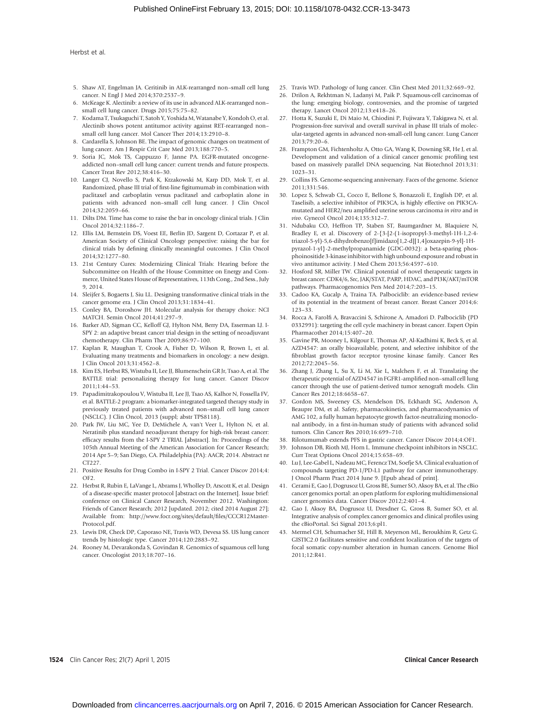- 5. Shaw AT, Engelman JA. Ceritinib in ALK-rearranged non–small cell lung cancer. N Engl J Med 2014;370:2537–9.
- 6. McKeage K. Alectinib: a review of its use in advanced ALK-rearranged non– small cell lung cancer. Drugs 2015;75:75–82.
- 7. Kodama T, Tsukaguchi T, Satoh Y, Yoshida M, Watanabe Y, Kondoh O, et al. Alectinib shows potent antitumor activity against RET-rearranged non– small cell lung cancer. Mol Cancer Ther 2014;13:2910–8.
- 8. Cardarella S, Johnson BE. The impact of genomic changes on treatment of lung cancer. Am J Respir Crit Care Med 2013;188:770–5.
- 9. Soria JC, Mok TS, Cappuzzo F, Janne PA. EGFR-mutated oncogeneaddicted non–small cell lung cancer: current trends and future prospects. Cancer Treat Rev 2012;38:416–30.
- 10. Langer CJ, Novello S, Park K, Krzakowski M, Karp DD, Mok T, et al. Randomized, phase III trial of first-line figitumumab in combination with paclitaxel and carboplatin versus paclitaxel and carboplatin alone in patients with advanced non–small cell lung cancer. J Clin Oncol 2014;32:2059–66.
- 11. Dilts DM. Time has come to raise the bar in oncology clinical trials. J Clin Oncol 2014;32:1186–7.
- 12. Ellis LM, Bernstein DS, Voest EE, Berlin JD, Sargent D, Cortazar P, et al. American Society of Clinical Oncology perspective: raising the bar for clinical trials by defining clinically meaningful outcomes. J Clin Oncol 2014;32:1277–80.
- 13. 21st Century Cures: Modernizing Clinical Trials: Hearing before the Subcommittee on Health of the House Committee on Energy and Commerce, United States House of Representatives, 113th Cong., 2nd Sess., July 9, 2014.
- 14. Sleijfer S, Bogaerts J, Siu LL. Designing transformative clinical trials in the cancer genome era. J Clin Oncol 2013;31:1834–41.
- 15. Conley BA, Doroshow JH. Molecular analysis for therapy choice: NCI MATCH. Semin Oncol 2014;41:297–9.
- 16. Barker AD, Sigman CC, Kelloff GJ, Hylton NM, Berry DA, Esserman LJ. I-SPY 2: an adaptive breast cancer trial design in the setting of neoadjuvant chemotherapy. Clin Pharm Ther 2009;86:97–100.
- 17. Kaplan R, Maughan T, Crook A, Fisher D, Wilson R, Brown L, et al. Evaluating many treatments and biomarkers in oncology: a new design. J Clin Oncol 2013;31:4562–8.
- 18. Kim ES, Herbst RS, Wistuba II, Lee JJ, Blumenschein GR Jr, Tsao A, et al. The BATTLE trial: personalizing therapy for lung cancer. Cancer Discov 2011;1:44–53.
- 19. Papadimitrakopoulou V, Wistuba II, Lee JJ, Tsao AS, Kalhor N, Fossella FV, et al. BATTLE-2 program: a biomarker-integrated targeted therapy study in previously treated patients with advanced non–small cell lung cancer (NSCLC). J Clin Oncol, 2013 (suppl; abstr TPS8118).
- 20. Park JW, Liu MC, Yee D, DeMichele A, van't Veer L, Hylton N, et al. Neratinib plus standard neoadjuvant therapy for high-risk breast cancer: efficacy results from the I-SPY 2 TRIAL [abstract]. In: Proceedings of the 105th Annual Meeting of the American Association for Cancer Research; 2014 Apr 5–9; San Diego, CA. Philadelphia (PA): AACR; 2014. Abstract nr CT227.
- 21. Positive Results for Drug Combo in I-SPY 2 Trial. Cancer Discov 2014;4: OF2.
- 22. Herbst R, Rubin E, LaVange L, Abrams J, Wholley D, Arscott K, et al. Design of a disease-specific master protocol [abstract on the Internet]. Issue brief: conference on Clinical Cancer Research, November 2012. Washington: Friends of Cancer Research; 2012 [updated. 2012; cited 2014 August 27]; Available from: http://www.focr.org/sites/default/files/CCCR12Master-Protocol.pdf.
- 23. Lewis DR, Check DP, Caporaso NE, Travis WD, Devesa SS. US lung cancer trends by histologic type. Cancer 2014;120:2883–92.
- 24. Rooney M, Devarakonda S, Govindan R. Genomics of squamous cell lung cancer. Oncologist 2013;18:707–16.
- 25. Travis WD. Pathology of lung cancer. Clin Chest Med 2011;32:669–92.
- 26. Drilon A, Rekhtman N, Ladanyi M, Paik P. Squamous-cell carcinomas of the lung: emerging biology, controversies, and the promise of targeted therapy. Lancet Oncol 2012;13:e418–26.
- 27. Hotta K, Suzuki E, Di Maio M, Chiodini P, Fujiwara Y, Takigawa N, et al. Progression-free survival and overall survival in phase III trials of molecular-targeted agents in advanced non-small-cell lung cancer. Lung Cancer 2013;79:20–6.
- 28. Frampton GM, Fichtenholtz A, Otto GA, Wang K, Downing SR, He J, et al. Development and validation of a clinical cancer genomic profiling test based on massively parallel DNA sequencing. Nat Biotechnol 2013;31: 1023–31.
- 29. Collins FS. Genome-sequencing anniversary. Faces of the genome. Science 2011;331:546.
- 30. Lopez S, Schwab CL, Cocco E, Bellone S, Bonazzoli E, English DP, et al. Taselisib, a selective inhibitor of PIK3CA, is highly effective on PIK3CAmutated and HER2/neu amplified uterine serous carcinoma in vitro and in vivo. Gynecol Oncol 2014;135:312–7.
- 31. Ndubaku CO, Heffron TP, Staben ST, Baumgardner M, Blaquiere N, Bradley E, et al. Discovery of 2-{3-[2-(1-isopropyl-3-methyl-1H-1,2-4 triazol-5-yl)-5,6-dihydrobenzo[f]imidazo[1,2-d][1,4]oxazepin-9-yl]-1Hpyrazol-1-yl}-2-methylpropanamide (GDC-0032): a beta-sparing phosphoinositide 3-kinase inhibitor with high unbound exposure and robust in vivo antitumor activity. J Med Chem 2013;56:4597–610.
- 32. Hosford SR, Miller TW. Clinical potential of novel therapeutic targets in breast cancer: CDK4/6, Src, JAK/STAT, PARP, HDAC, and PI3K/AKT/mTOR pathways. Pharmacogenomics Pers Med 2014;7:203–15.
- 33. Cadoo KA, Gucalp A, Traina TA. Palbociclib: an evidence-based review of its potential in the treatment of breast cancer. Breast Cancer 2014;6: 123–33.
- 34. Rocca A, Farolfi A, Bravaccini S, Schirone A, Amadori D. Palbociclib (PD 0332991): targeting the cell cycle machinery in breast cancer. Expert Opin Pharmacother 2014;15:407–20.
- 35. Gavine PR, Mooney L, Kilgour E, Thomas AP, Al-Kadhimi K, Beck S, et al. AZD4547: an orally bioavailable, potent, and selective inhibitor of the fibroblast growth factor receptor tyrosine kinase family. Cancer Res 2012;72:2045–56.
- 36. Zhang J, Zhang L, Su X, Li M, Xie L, Malchers F, et al. Translating the therapeutic potential of AZD4547 in FGFR1-amplified non–small cell lung cancer through the use of patient-derived tumor xenograft models. Clin Cancer Res 2012;18:6658–67.
- 37. Gordon MS, Sweeney CS, Mendelson DS, Eckhardt SG, Anderson A, Beaupre DM, et al. Safety, pharmacokinetics, and pharmacodynamics of AMG 102, a fully human hepatocyte growth factor-neutralizing monoclonal antibody, in a first-in-human study of patients with advanced solid tumors. Clin Cancer Res 2010;16:699–710.
- 38. Rilotumumab extends PFS in gastric cancer. Cancer Discov 2014;4:OF1.
- 39. Johnson DB, Rioth MJ, Horn L. Immune checkpoint inhibitors in NSCLC. Curr Treat Options Oncol 2014;15:658–69.
- 40. Lu J, Lee-Gabel L, Nadeau MC, Ferencz TM, Soefje SA. Clinical evaluation of compounds targeting PD-1/PD-L1 pathway for cancer immunotherapy. J Oncol Pharm Pract 2014 June 9. [Epub ahead of print].
- 41. Cerami E, Gao J, Dogrusoz U, Gross BE, Sumer SO, Aksoy BA, et al. The cBio cancer genomics portal: an open platform for exploring multidimensional cancer genomics data. Cancer Discov 2012;2:401–4.
- 42. Gao J, Aksoy BA, Dogrusoz U, Dresdner G, Gross B, Sumer SO, et al. Integrative analysis of complex cancer genomics and clinical profiles using the cBioPortal. Sci Signal 2013;6:pl1.
- 43. Mermel CH, Schumacher SE, Hill B, Meyerson ML, Beroukhim R, Getz G. GISTIC2.0 facilitates sensitive and confident localization of the targets of focal somatic copy-number alteration in human cancers. Genome Biol 2011;12:R41.